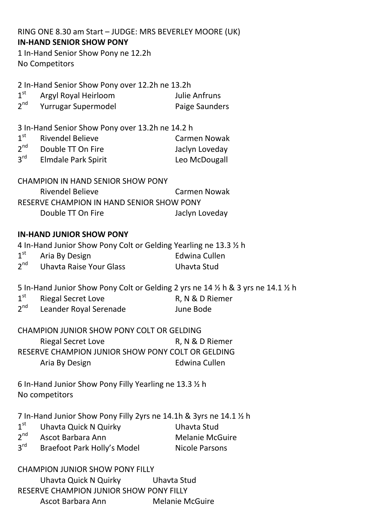RING ONE 8.30 am Start – JUDGE: MRS BEVERLEY MOORE (UK) **IN-HAND SENIOR SHOW PONY**

1 In-Hand Senior Show Pony ne 12.2h No Competitors

2 In-Hand Senior Show Pony over 12.2h ne 13.2h

| 1 <sup>st</sup> | Argyl Royal Heirloom | Julie Anfruns  |
|-----------------|----------------------|----------------|
| $2^{nd}$        | Yurrugar Supermodel  | Paige Saunders |

3 In-Hand Senior Show Pony over 13.2h ne 14.2 h

| 1 <sup>st</sup> | <b>Rivendel Believe</b>    | <b>Carmen Nowak</b> |
|-----------------|----------------------------|---------------------|
| $2^{nd}$        | Double TT On Fire          | Jaclyn Loveday      |
| $3^{\text{rd}}$ | <b>Elmdale Park Spirit</b> | Leo McDougall       |

| <b>CHAMPION IN HAND SENIOR SHOW PONY</b>  |                |  |
|-------------------------------------------|----------------|--|
| Rivendel Believe                          | Carmen Nowak   |  |
| RESERVE CHAMPION IN HAND SENIOR SHOW PONY |                |  |
| Double TT On Fire                         | Jaclyn Loveday |  |

### **IN-HAND JUNIOR SHOW PONY**

4 In-Hand Junior Show Pony Colt or Gelding Yearling ne 13.3 ½ h  $1<sup>st</sup>$ Aria By Design **Edwina Cullen**  $2<sup>nd</sup>$ nd Uhavta Raise Your Glass Uhavta Stud

5 In-Hand Junior Show Pony Colt or Gelding 2 yrs ne 14 ½ h & 3 yrs ne 14.1 ½ h

 $1<sup>st</sup>$ Riegal Secret Love R, N & D Riemer  $2<sup>nd</sup>$ Leander Royal Serenade Fig. 3. June Bode

CHAMPION JUNIOR SHOW PONY COLT OR GELDING Riegal Secret Love R, N & D Riemer RESERVE CHAMPION JUNIOR SHOW PONY COLT OR GELDING Aria By Design **Edwina Cullen** 

6 In-Hand Junior Show Pony Filly Yearling ne 13.3 ½ h No competitors

7 In-Hand Junior Show Pony Filly 2yrs ne 14.1h & 3yrs ne 14.1 ½ h

- $1<sup>st</sup>$ Uhavta Quick N Quirky Uhavta Stud
- $2^{nd}$ Ascot Barbara Ann Melanie McGuire
	-
- $3<sup>rd</sup>$ Braefoot Park Holly's Model Nicole Parsons

### CHAMPION JUNIOR SHOW PONY FILLY

Uhavta Quick N Quirky Uhavta Stud RESERVE CHAMPION JUNIOR SHOW PONY FILLY Ascot Barbara Ann Melanie McGuire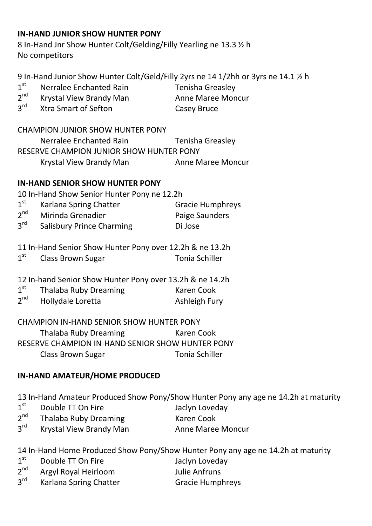#### **IN-HAND JUNIOR SHOW HUNTER PONY**

8 In-Hand Jnr Show Hunter Colt/Gelding/Filly Yearling ne 13.3 ½ h No competitors

9 In-Hand Junior Show Hunter Colt/Geld/Filly 2yrs ne 14 1/2hh or 3yrs ne 14.1 ½ h  $1<sup>st</sup>$ Nerralee Enchanted Rain Tenisha Greasley

- $2<sup>nd</sup>$ Krystal View Brandy Man Anne Maree Moncur
- 

 $2^{\text{rd}}$ **The Smart of Sefton Casey Bruce** 

CHAMPION JUNIOR SHOW HUNTER PONY Nerralee Enchanted Rain Tenisha Greasley RESERVE CHAMPION JUNIOR SHOW HUNTER PONY Krystal View Brandy Man Anne Maree Moncur

### **IN-HAND SENIOR SHOW HUNTER PONY**

10 In-Hand Show Senior Hunter Pony ne 12.2h

- $1<sup>st</sup>$ Karlana Spring Chatter Gracie Humphreys  $2<sup>nd</sup>$ Mirinda Grenadier **National Paige Saunders**
- $3<sup>rd</sup>$ Salisbury Prince Charming Di Jose
- 11 In-Hand Senior Show Hunter Pony over 12.2h & ne 13.2h
- $1<sup>st</sup>$ Class Brown Sugar Tonia Schiller
- 12 In-hand Senior Show Hunter Pony over 13.2h & ne 14.2h
- $1<sup>st</sup>$ Thalaba Ruby Dreaming Karen Cook
- $2<sup>nd</sup>$ Hollydale Loretta Ashleigh Fury

#### CHAMPION IN-HAND SENIOR SHOW HUNTER PONY Thalaba Ruby Dreaming Karen Cook

RESERVE CHAMPION IN-HAND SENIOR SHOW HUNTER PONY Class Brown Sugar Tonia Schiller

# **IN-HAND AMATEUR/HOME PRODUCED**

13 In-Hand Amateur Produced Show Pony/Show Hunter Pony any age ne 14.2h at maturity

- $1<sup>st</sup>$ Double TT On Fire **State State State State State State** Jaclyn Loveday
- $2<sup>nd</sup>$ Thalaba Ruby Dreaming Karen Cook
- $3<sup>rd</sup>$ Krystal View Brandy Man Anne Maree Moncur

14 In-Hand Home Produced Show Pony/Show Hunter Pony any age ne 14.2h at maturity

- $1<sup>st</sup>$ Double TT On Fire **State State State State State State** Jaclyn Loveday
- $2<sup>nd</sup>$ Argyl Royal Heirloom Julie Anfruns
- $3<sup>rd</sup>$ Karlana Spring Chatter Gracie Humphreys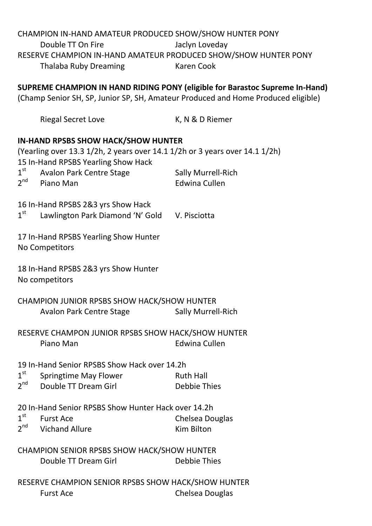### CHAMPION IN-HAND AMATEUR PRODUCED SHOW/SHOW HUNTER PONY Double TT On Fire Jaclyn Loveday RESERVE CHAMPION IN-HAND AMATEUR PRODUCED SHOW/SHOW HUNTER PONY Thalaba Ruby Dreaming Karen Cook

**SUPREME CHAMPION IN HAND RIDING PONY (eligible for Barastoc Supreme In-Hand)**

(Champ Senior SH, SP, Junior SP, SH, Amateur Produced and Home Produced eligible)

|                                                                                                                                                                  | <b>Riegal Secret Love</b>                                                           | K, N & D Riemer                                   |  |
|------------------------------------------------------------------------------------------------------------------------------------------------------------------|-------------------------------------------------------------------------------------|---------------------------------------------------|--|
| <b>IN-HAND RPSBS SHOW HACK/SHOW HUNTER</b><br>(Yearling over 13.3 1/2h, 2 years over 14.1 1/2h or 3 years over 14.1 1/2h)<br>15 In-Hand RPSBS Yearling Show Hack |                                                                                     |                                                   |  |
| $1^{\text{st}}$<br>$2^{nd}$                                                                                                                                      | <b>Avalon Park Centre Stage</b><br>Piano Man                                        | <b>Sally Murrell-Rich</b><br><b>Edwina Cullen</b> |  |
| 1 <sup>st</sup>                                                                                                                                                  | 16 In-Hand RPSBS 2&3 yrs Show Hack<br>Lawlington Park Diamond 'N' Gold V. Pisciotta |                                                   |  |
| 17 In-Hand RPSBS Yearling Show Hunter<br><b>No Competitors</b>                                                                                                   |                                                                                     |                                                   |  |
| 18 In-Hand RPSBS 2&3 yrs Show Hunter<br>No competitors                                                                                                           |                                                                                     |                                                   |  |
|                                                                                                                                                                  | CHAMPION JUNIOR RPSBS SHOW HACK/SHOW HUNTER<br><b>Avalon Park Centre Stage</b>      | <b>Sally Murrell-Rich</b>                         |  |
| RESERVE CHAMPON JUNIOR RPSBS SHOW HACK/SHOW HUNTER<br><b>Edwina Cullen</b><br>Piano Man                                                                          |                                                                                     |                                                   |  |
| 19 In-Hand Senior RPSBS Show Hack over 14.2h                                                                                                                     |                                                                                     |                                                   |  |
| 1 <sup>st</sup><br>2 <sup>nd</sup>                                                                                                                               | <b>Springtime May Flower</b>                                                        | <b>Ruth Hall</b>                                  |  |
|                                                                                                                                                                  | Double TT Dream Girl                                                                | <b>Debbie Thies</b>                               |  |
| 20 In-Hand Senior RPSBS Show Hunter Hack over 14.2h                                                                                                              |                                                                                     |                                                   |  |
| $1^{\text{st}}$<br>2 <sup>nd</sup>                                                                                                                               | <b>Furst Ace</b>                                                                    | <b>Chelsea Douglas</b>                            |  |
|                                                                                                                                                                  | <b>Vichand Allure</b>                                                               | <b>Kim Bilton</b>                                 |  |
| <b>CHAMPION SENIOR RPSBS SHOW HACK/SHOW HUNTER</b>                                                                                                               |                                                                                     |                                                   |  |
|                                                                                                                                                                  | Double TT Dream Girl                                                                | <b>Debbie Thies</b>                               |  |
| RESERVE CHAMPION SENIOR RPSBS SHOW HACK/SHOW HUNTER                                                                                                              |                                                                                     |                                                   |  |
|                                                                                                                                                                  | <b>Furst Ace</b>                                                                    | <b>Chelsea Douglas</b>                            |  |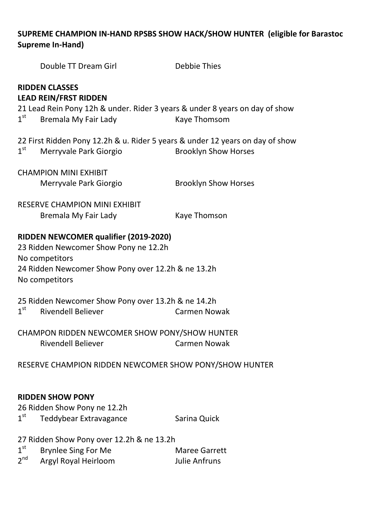# **SUPREME CHAMPION IN-HAND RPSBS SHOW HACK/SHOW HUNTER (eligible for Barastoc Supreme In-Hand)**

|                                                                                                                                                                          | Double TT Dream Girl                                                                                                                                         | <b>Debbie Thies</b>                          |  |
|--------------------------------------------------------------------------------------------------------------------------------------------------------------------------|--------------------------------------------------------------------------------------------------------------------------------------------------------------|----------------------------------------------|--|
| 1 <sup>st</sup>                                                                                                                                                          | <b>RIDDEN CLASSES</b><br><b>LEAD REIN/FRST RIDDEN</b><br>21 Lead Rein Pony 12h & under. Rider 3 years & under 8 years on day of show<br>Bremala My Fair Lady | Kaye Thomsom                                 |  |
| 1 <sup>st</sup>                                                                                                                                                          | 22 First Ridden Pony 12.2h & u. Rider 5 years & under 12 years on day of show<br>Merryvale Park Giorgio                                                      | <b>Brooklyn Show Horses</b>                  |  |
|                                                                                                                                                                          | <b>CHAMPION MINI EXHIBIT</b><br>Merryvale Park Giorgio                                                                                                       | <b>Brooklyn Show Horses</b>                  |  |
|                                                                                                                                                                          | <b>RESERVE CHAMPION MINI EXHIBIT</b><br>Bremala My Fair Lady                                                                                                 | Kaye Thomson                                 |  |
| RIDDEN NEWCOMER qualifier (2019-2020)<br>23 Ridden Newcomer Show Pony ne 12.2h<br>No competitors<br>24 Ridden Newcomer Show Pony over 12.2h & ne 13.2h<br>No competitors |                                                                                                                                                              |                                              |  |
| 1 <sup>st</sup>                                                                                                                                                          | 25 Ridden Newcomer Show Pony over 13.2h & ne 14.2h<br><b>Rivendell Believer</b>                                                                              | <b>Carmen Nowak</b>                          |  |
| CHAMPON RIDDEN NEWCOMER SHOW PONY/SHOW HUNTER<br><b>Rivendell Believer</b><br><b>Carmen Nowak</b>                                                                        |                                                                                                                                                              |                                              |  |
| RESERVE CHAMPION RIDDEN NEWCOMER SHOW PONY/SHOW HUNTER                                                                                                                   |                                                                                                                                                              |                                              |  |
| $1^{\rm st}$                                                                                                                                                             | <b>RIDDEN SHOW PONY</b><br>26 Ridden Show Pony ne 12.2h<br>Teddybear Extravagance                                                                            | Sarina Quick                                 |  |
| 1 <sup>st</sup><br>$2^{nd}$                                                                                                                                              | 27 Ridden Show Pony over 12.2h & ne 13.2h<br><b>Brynlee Sing For Me</b><br>Argyl Royal Heirloom                                                              | <b>Maree Garrett</b><br><b>Julie Anfruns</b> |  |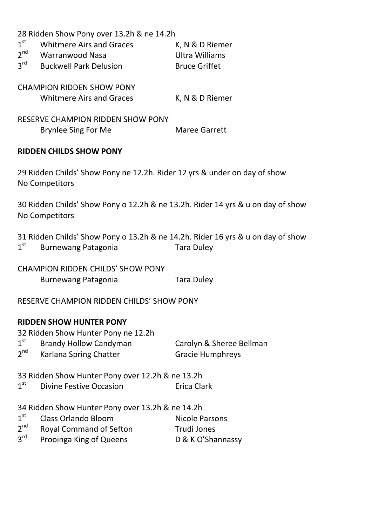28 Ridden Show Pony over 13.2h & ne 14.2h

| 1 <sup>st</sup> | <b>Whitmere Airs and Graces</b> | K, N & D Riemer      |
|-----------------|---------------------------------|----------------------|
| $2^{nd}$        | Warranwood Nasa                 | Ultra Williams       |
| $3^{\text{rd}}$ | <b>Buckwell Park Delusion</b>   | <b>Bruce Griffet</b> |

CHAMPION RIDDEN SHOW PONY Whitmere Airs and Graces K, N & D Riemer

RESERVE CHAMPION RIDDEN SHOW PONY Brynlee Sing For Me Maree Garrett

### **RIDDEN CHILDS SHOW PONY**

29 Ridden Childs' Show Pony ne 12.2h. Rider 12 yrs & under on day of show No Competitors

30 Ridden Childs' Show Pony o 12.2h & ne 13.2h. Rider 14 yrs & u on day of show No Competitors

31 Ridden Childs' Show Pony o 13.2h & ne 14.2h. Rider 16 yrs & u on day of show  $1^{\rm st}$ Burnewang Patagonia Tara Duley

CHAMPION RIDDEN CHILDS' SHOW PONY Burnewang Patagonia **Tara Duley** 

RESERVE CHAMPION RIDDEN CHILDS' SHOW PONY

#### **RIDDEN SHOW HUNTER PONY**

|                 | 32 Ridden Show Hunter Pony ne 12.2h |                          |
|-----------------|-------------------------------------|--------------------------|
| 1 <sup>st</sup> | Brandy Hollow Candyman              | Carolyn & Sheree Bellman |
| 2 <sup>nd</sup> | Karlana Spring Chatter              | <b>Gracie Humphreys</b>  |

33 Ridden Show Hunter Pony over 12.2h & ne 13.2h

 $1^{\text{st}}$ **Divine Festive Occasion** Erica Clark

34 Ridden Show Hunter Pony over 13.2h & ne 14.2h

- $1<sup>st</sup>$ Class Orlando Bloom Nicole Parsons
- $2<sup>nd</sup>$ Royal Command of Sefton Trudi Jones
- $3<sup>rd</sup>$ Prooinga King of Queens D & K O'Shannassy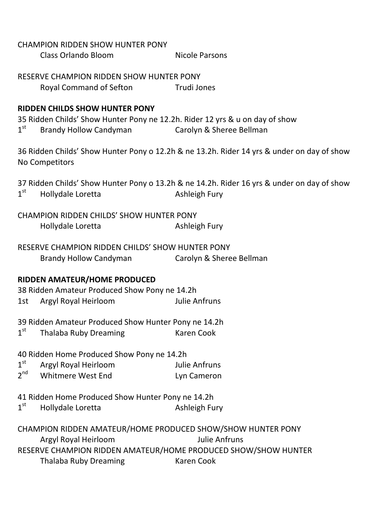|                                                                                                                                                                                                                             | <b>CHAMPION RIDDEN SHOW HUNTER PONY</b><br><b>Class Orlando Bloom</b>                                                                           | <b>Nicole Parsons</b>                                                                                       |  |
|-----------------------------------------------------------------------------------------------------------------------------------------------------------------------------------------------------------------------------|-------------------------------------------------------------------------------------------------------------------------------------------------|-------------------------------------------------------------------------------------------------------------|--|
|                                                                                                                                                                                                                             | RESERVE CHAMPION RIDDEN SHOW HUNTER PONY<br>Royal Command of Sefton                                                                             | <b>Example 1</b> Trudi Jones                                                                                |  |
| $1^{\rm st}$                                                                                                                                                                                                                | <b>RIDDEN CHILDS SHOW HUNTER PONY</b><br>35 Ridden Childs' Show Hunter Pony ne 12.2h. Rider 12 yrs & u on day of show<br>Brandy Hollow Candyman | Carolyn & Sheree Bellman                                                                                    |  |
| 36 Ridden Childs' Show Hunter Pony o 12.2h & ne 13.2h. Rider 14 yrs & under on day of show<br>No Competitors                                                                                                                |                                                                                                                                                 |                                                                                                             |  |
| 1 <sup>st</sup>                                                                                                                                                                                                             | Hollydale Loretta                                                                                                                               | 37 Ridden Childs' Show Hunter Pony o 13.2h & ne 14.2h. Rider 16 yrs & under on day of show<br>Ashleigh Fury |  |
|                                                                                                                                                                                                                             | <b>CHAMPION RIDDEN CHILDS' SHOW HUNTER PONY</b><br>Hollydale Loretta                                                                            | Ashleigh Fury                                                                                               |  |
|                                                                                                                                                                                                                             | RESERVE CHAMPION RIDDEN CHILDS' SHOW HUNTER PONY<br>Brandy Hollow Candyman                                                                      | Carolyn & Sheree Bellman                                                                                    |  |
| RIDDEN AMATEUR/HOME PRODUCED<br>38 Ridden Amateur Produced Show Pony ne 14.2h<br><b>Julie Anfruns</b><br>Argyl Royal Heirloom<br>1st                                                                                        |                                                                                                                                                 |                                                                                                             |  |
| $1^{\rm st}$                                                                                                                                                                                                                | 39 Ridden Amateur Produced Show Hunter Pony ne 14.2h<br><b>Thalaba Ruby Dreaming</b>                                                            | <b>Karen Cook</b>                                                                                           |  |
| 1 <sup>st</sup><br>2 <sup>nd</sup>                                                                                                                                                                                          | 40 Ridden Home Produced Show Pony ne 14.2h<br>Argyl Royal Heirloom<br><b>Whitmere West End</b>                                                  | <b>Julie Anfruns</b><br>Lyn Cameron                                                                         |  |
| $1^{\rm st}$                                                                                                                                                                                                                | 41 Ridden Home Produced Show Hunter Pony ne 14.2h<br>Hollydale Loretta                                                                          | Ashleigh Fury                                                                                               |  |
| CHAMPION RIDDEN AMATEUR/HOME PRODUCED SHOW/SHOW HUNTER PONY<br><b>Julie Anfruns</b><br>Argyl Royal Heirloom<br>RESERVE CHAMPION RIDDEN AMATEUR/HOME PRODUCED SHOW/SHOW HUNTER<br>Thalaba Ruby Dreaming<br><b>Karen Cook</b> |                                                                                                                                                 |                                                                                                             |  |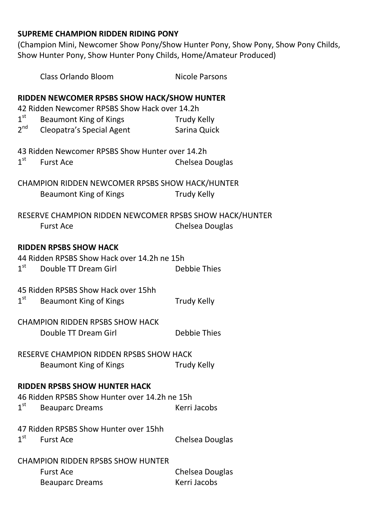### **SUPREME CHAMPION RIDDEN RIDING PONY**

(Champion Mini, Newcomer Show Pony/Show Hunter Pony, Show Pony, Show Pony Childs, Show Hunter Pony, Show Hunter Pony Childs, Home/Amateur Produced)

|                                                                                                                                                                 | <b>Class Orlando Bloom</b>                                                                           | <b>Nicole Parsons</b>           |  |
|-----------------------------------------------------------------------------------------------------------------------------------------------------------------|------------------------------------------------------------------------------------------------------|---------------------------------|--|
| RIDDEN NEWCOMER RPSBS SHOW HACK/SHOW HUNTER<br>42 Ridden Newcomer RPSBS Show Hack over 14.2h<br>1 <sup>st</sup><br>Beaumont King of Kings<br><b>Trudy Kelly</b> |                                                                                                      |                                 |  |
| $2^{nd}$                                                                                                                                                        | Cleopatra's Special Agent                                                                            | Sarina Quick                    |  |
| 1 <sup>st</sup>                                                                                                                                                 | 43 Ridden Newcomer RPSBS Show Hunter over 14.2h<br><b>Furst Ace</b>                                  | Chelsea Douglas                 |  |
|                                                                                                                                                                 | CHAMPION RIDDEN NEWCOMER RPSBS SHOW HACK/HUNTER<br><b>Beaumont King of Kings</b>                     | <b>Trudy Kelly</b>              |  |
|                                                                                                                                                                 | RESERVE CHAMPION RIDDEN NEWCOMER RPSBS SHOW HACK/HUNTER<br><b>Furst Ace</b>                          | Chelsea Douglas                 |  |
| 1 <sup>st</sup>                                                                                                                                                 | <b>RIDDEN RPSBS SHOW HACK</b><br>44 Ridden RPSBS Show Hack over 14.2h ne 15h<br>Double TT Dream Girl | <b>Debbie Thies</b>             |  |
| $1^{\text{st}}$                                                                                                                                                 | 45 Ridden RPSBS Show Hack over 15hh<br><b>Beaumont King of Kings</b>                                 | <b>Trudy Kelly</b>              |  |
|                                                                                                                                                                 | <b>CHAMPION RIDDEN RPSBS SHOW HACK</b><br>Double TT Dream Girl                                       | Debbie Thies                    |  |
| RESERVE CHAMPION RIDDEN RPSBS SHOW HACK<br><b>Beaumont King of Kings</b><br><b>Trudy Kelly</b>                                                                  |                                                                                                      |                                 |  |
| <b>RIDDEN RPSBS SHOW HUNTER HACK</b><br>46 Ridden RPSBS Show Hunter over 14.2h ne 15h<br>$1^{\rm st}$<br>Kerri Jacobs<br><b>Beauparc Dreams</b>                 |                                                                                                      |                                 |  |
| 1 <sup>st</sup>                                                                                                                                                 | 47 Ridden RPSBS Show Hunter over 15hh<br><b>Furst Ace</b>                                            | Chelsea Douglas                 |  |
|                                                                                                                                                                 | <b>CHAMPION RIDDEN RPSBS SHOW HUNTER</b><br><b>Furst Ace</b><br><b>Beauparc Dreams</b>               | Chelsea Douglas<br>Kerri Jacobs |  |